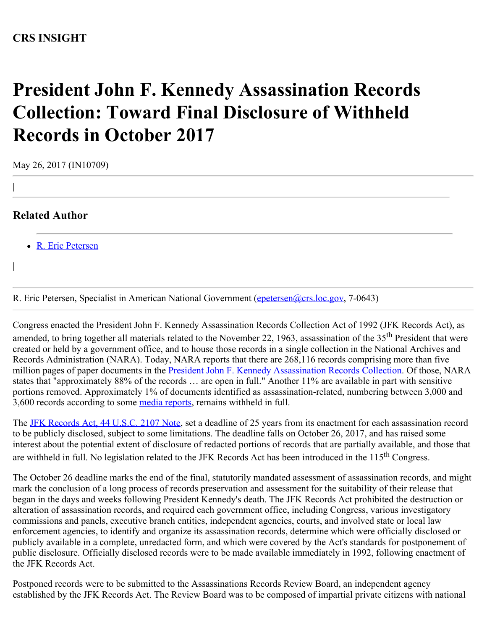## **CRS INSIGHT**

## **President John F. Kennedy Assassination Records Collection: Toward Final Disclosure of Withheld Records in October 2017**

May 26, 2017 (IN10709)

## **Related Author**

|

|

• [R. Eric Petersen](http://www.crs.gov/Author/index?id=46990)

R. Eric Petersen, Specialist in American National Government [\(epetersen@crs.loc.gov](mailto:epetersen@crs.loc.gov), 7-0643)

Congress enacted the President John F. Kennedy Assassination Records Collection Act of 1992 (JFK Records Act), as amended, to bring together all materials related to the November 22, 1963, assassination of the 35<sup>th</sup> President that were created or held by a government office, and to house those records in a single collection in the National Archives and Records Administration (NARA). Today, NARA reports that there are 268,116 records comprising more than five million pages of paper documents in the **President John F. Kennedy Assassination Records Collection**. Of those, NARA states that "approximately 88% of the records … are open in full." Another 11% are available in part with sensitive portions removed. Approximately 1% of documents identified as assassination-related, numbering between 3,000 and 3,600 records according to some [media reports](http://time.com/4606082/jfk-assassination-secrets/), remains withheld in full.

The **JFK Records Act, 44 U.S.C. 2107 Note**, set a deadline of 25 years from its enactment for each assassination record to be publicly disclosed, subject to some limitations. The deadline falls on October 26, 2017, and has raised some interest about the potential extent of disclosure of redacted portions of records that are partially available, and those that are withheld in full. No legislation related to the JFK Records Act has been introduced in the 115th Congress.

The October 26 deadline marks the end of the final, statutorily mandated assessment of assassination records, and might mark the conclusion of a long process of records preservation and assessment for the suitability of their release that began in the days and weeks following President Kennedy's death. The JFK Records Act prohibited the destruction or alteration of assassination records, and required each government office, including Congress, various investigatory commissions and panels, executive branch entities, independent agencies, courts, and involved state or local law enforcement agencies, to identify and organize its assassination records, determine which were officially disclosed or publicly available in a complete, unredacted form, and which were covered by the Act's standards for postponement of public disclosure. Officially disclosed records were to be made available immediately in 1992, following enactment of the JFK Records Act.

Postponed records were to be submitted to the Assassinations Records Review Board, an independent agency established by the JFK Records Act. The Review Board was to be composed of impartial private citizens with national